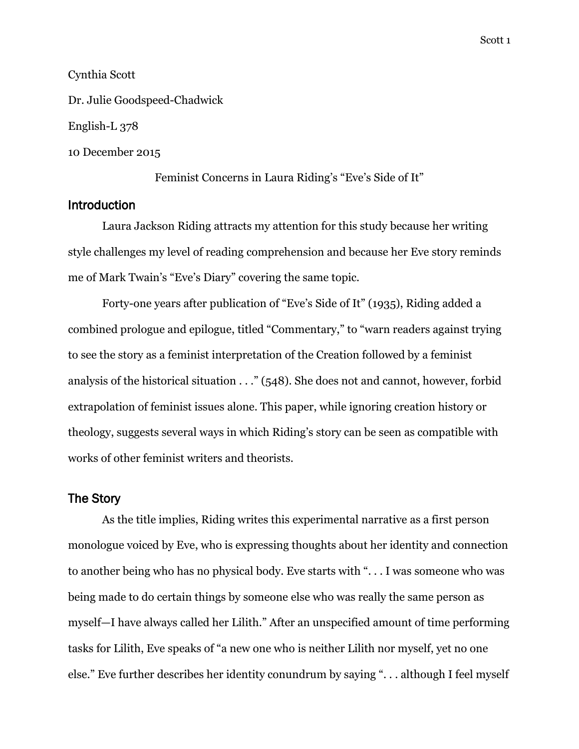# Cynthia Scott

Dr. Julie Goodspeed-Chadwick English-L 378

10 December 2015

Feminist Concerns in Laura Riding's "Eve's Side of It"

# **Introduction**

Laura Jackson Riding attracts my attention for this study because her writing style challenges my level of reading comprehension and because her Eve story reminds me of Mark Twain's "Eve's Diary" covering the same topic.

Forty-one years after publication of "Eve's Side of It" (1935), Riding added a combined prologue and epilogue, titled "Commentary," to "warn readers against trying to see the story as a feminist interpretation of the Creation followed by a feminist analysis of the historical situation . . ." (548). She does not and cannot, however, forbid extrapolation of feminist issues alone. This paper, while ignoring creation history or theology, suggests several ways in which Riding's story can be seen as compatible with works of other feminist writers and theorists.

#### The Story

As the title implies, Riding writes this experimental narrative as a first person monologue voiced by Eve, who is expressing thoughts about her identity and connection to another being who has no physical body. Eve starts with ". . . I was someone who was being made to do certain things by someone else who was really the same person as myself—I have always called her Lilith." After an unspecified amount of time performing tasks for Lilith, Eve speaks of "a new one who is neither Lilith nor myself, yet no one else." Eve further describes her identity conundrum by saying ". . . although I feel myself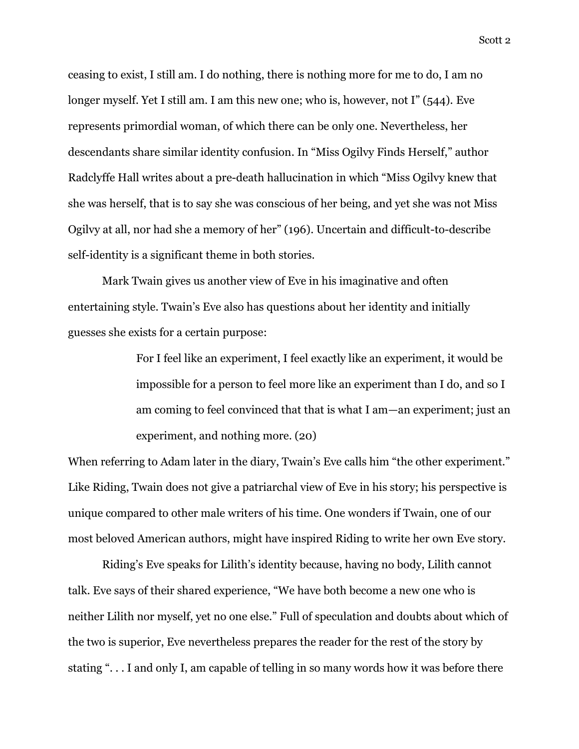ceasing to exist, I still am. I do nothing, there is nothing more for me to do, I am no longer myself. Yet I still am. I am this new one; who is, however, not I" (544). Eve represents primordial woman, of which there can be only one. Nevertheless, her descendants share similar identity confusion. In "Miss Ogilvy Finds Herself," author Radclyffe Hall writes about a pre-death hallucination in which "Miss Ogilvy knew that she was herself, that is to say she was conscious of her being, and yet she was not Miss Ogilvy at all, nor had she a memory of her" (196). Uncertain and difficult-to-describe self-identity is a significant theme in both stories.

Mark Twain gives us another view of Eve in his imaginative and often entertaining style. Twain's Eve also has questions about her identity and initially guesses she exists for a certain purpose:

> For I feel like an experiment, I feel exactly like an experiment, it would be impossible for a person to feel more like an experiment than I do, and so I am coming to feel convinced that that is what I am—an experiment; just an experiment, and nothing more. (20)

When referring to Adam later in the diary, Twain's Eve calls him "the other experiment." Like Riding, Twain does not give a patriarchal view of Eve in his story; his perspective is unique compared to other male writers of his time. One wonders if Twain, one of our most beloved American authors, might have inspired Riding to write her own Eve story.

Riding's Eve speaks for Lilith's identity because, having no body, Lilith cannot talk. Eve says of their shared experience, "We have both become a new one who is neither Lilith nor myself, yet no one else." Full of speculation and doubts about which of the two is superior, Eve nevertheless prepares the reader for the rest of the story by stating ". . . I and only I, am capable of telling in so many words how it was before there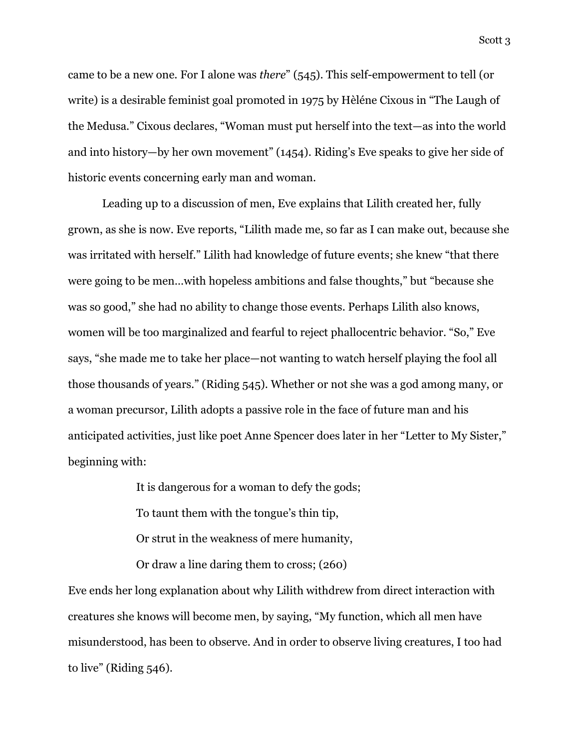came to be a new one. For I alone was *there*" (545). This self-empowerment to tell (or write) is a desirable feminist goal promoted in 1975 by Hèléne Cixous in "The Laugh of the Medusa." Cixous declares, "Woman must put herself into the text—as into the world and into history—by her own movement" (1454). Riding's Eve speaks to give her side of historic events concerning early man and woman.

Leading up to a discussion of men, Eve explains that Lilith created her, fully grown, as she is now. Eve reports, "Lilith made me, so far as I can make out, because she was irritated with herself." Lilith had knowledge of future events; she knew "that there were going to be men…with hopeless ambitions and false thoughts," but "because she was so good," she had no ability to change those events. Perhaps Lilith also knows, women will be too marginalized and fearful to reject phallocentric behavior. "So," Eve says, "she made me to take her place—not wanting to watch herself playing the fool all those thousands of years." (Riding 545). Whether or not she was a god among many, or a woman precursor, Lilith adopts a passive role in the face of future man and his anticipated activities, just like poet Anne Spencer does later in her "Letter to My Sister," beginning with:

It is dangerous for a woman to defy the gods;

To taunt them with the tongue's thin tip,

Or strut in the weakness of mere humanity,

Or draw a line daring them to cross; (260)

Eve ends her long explanation about why Lilith withdrew from direct interaction with creatures she knows will become men, by saying, "My function, which all men have misunderstood, has been to observe. And in order to observe living creatures, I too had to live" (Riding 546).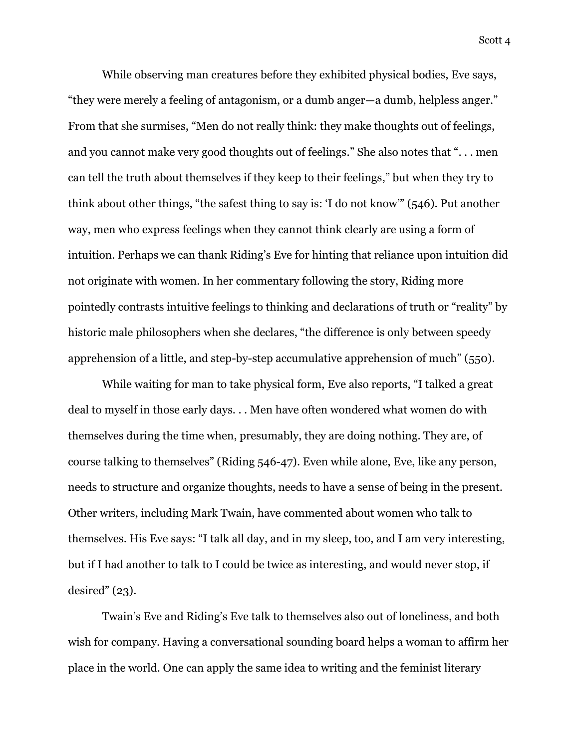While observing man creatures before they exhibited physical bodies, Eve says, "they were merely a feeling of antagonism, or a dumb anger—a dumb, helpless anger." From that she surmises, "Men do not really think: they make thoughts out of feelings, and you cannot make very good thoughts out of feelings." She also notes that ". . . men can tell the truth about themselves if they keep to their feelings," but when they try to think about other things, "the safest thing to say is: 'I do not know'" (546). Put another way, men who express feelings when they cannot think clearly are using a form of intuition. Perhaps we can thank Riding's Eve for hinting that reliance upon intuition did not originate with women. In her commentary following the story, Riding more pointedly contrasts intuitive feelings to thinking and declarations of truth or "reality" by historic male philosophers when she declares, "the difference is only between speedy apprehension of a little, and step-by-step accumulative apprehension of much" (550).

While waiting for man to take physical form, Eve also reports, "I talked a great deal to myself in those early days. . . Men have often wondered what women do with themselves during the time when, presumably, they are doing nothing. They are, of course talking to themselves" (Riding 546-47). Even while alone, Eve, like any person, needs to structure and organize thoughts, needs to have a sense of being in the present. Other writers, including Mark Twain, have commented about women who talk to themselves. His Eve says: "I talk all day, and in my sleep, too, and I am very interesting, but if I had another to talk to I could be twice as interesting, and would never stop, if desired" (23).

Twain's Eve and Riding's Eve talk to themselves also out of loneliness, and both wish for company. Having a conversational sounding board helps a woman to affirm her place in the world. One can apply the same idea to writing and the feminist literary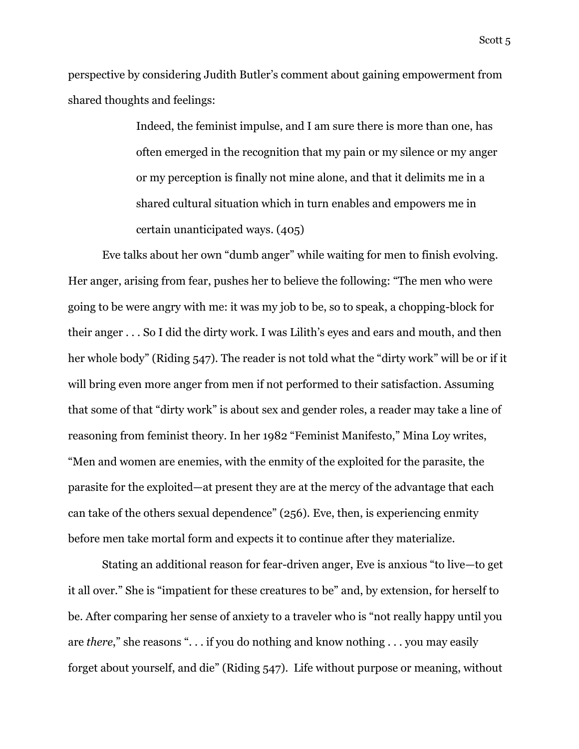perspective by considering Judith Butler's comment about gaining empowerment from shared thoughts and feelings:

> Indeed, the feminist impulse, and I am sure there is more than one, has often emerged in the recognition that my pain or my silence or my anger or my perception is finally not mine alone, and that it delimits me in a shared cultural situation which in turn enables and empowers me in certain unanticipated ways. (405)

Eve talks about her own "dumb anger" while waiting for men to finish evolving. Her anger, arising from fear, pushes her to believe the following: "The men who were going to be were angry with me: it was my job to be, so to speak, a chopping-block for their anger . . . So I did the dirty work. I was Lilith's eyes and ears and mouth, and then her whole body" (Riding 547). The reader is not told what the "dirty work" will be or if it will bring even more anger from men if not performed to their satisfaction. Assuming that some of that "dirty work" is about sex and gender roles, a reader may take a line of reasoning from feminist theory. In her 1982 "Feminist Manifesto," Mina Loy writes, "Men and women are enemies, with the enmity of the exploited for the parasite, the parasite for the exploited—at present they are at the mercy of the advantage that each can take of the others sexual dependence" (256). Eve, then, is experiencing enmity before men take mortal form and expects it to continue after they materialize.

Stating an additional reason for fear-driven anger, Eve is anxious "to live—to get it all over." She is "impatient for these creatures to be" and, by extension, for herself to be. After comparing her sense of anxiety to a traveler who is "not really happy until you are *there*," she reasons ". . . if you do nothing and know nothing . . . you may easily forget about yourself, and die" (Riding 547). Life without purpose or meaning, without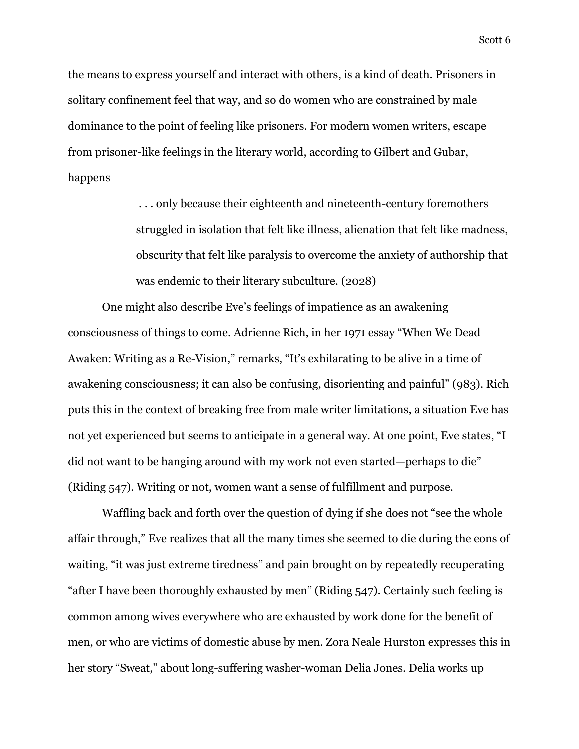the means to express yourself and interact with others, is a kind of death. Prisoners in solitary confinement feel that way, and so do women who are constrained by male dominance to the point of feeling like prisoners. For modern women writers, escape from prisoner-like feelings in the literary world, according to Gilbert and Gubar, happens

> . . . only because their eighteenth and nineteenth-century foremothers struggled in isolation that felt like illness, alienation that felt like madness, obscurity that felt like paralysis to overcome the anxiety of authorship that was endemic to their literary subculture. (2028)

One might also describe Eve's feelings of impatience as an awakening consciousness of things to come. Adrienne Rich, in her 1971 essay "When We Dead Awaken: Writing as a Re-Vision," remarks, "It's exhilarating to be alive in a time of awakening consciousness; it can also be confusing, disorienting and painful" (983). Rich puts this in the context of breaking free from male writer limitations, a situation Eve has not yet experienced but seems to anticipate in a general way. At one point, Eve states, "I did not want to be hanging around with my work not even started—perhaps to die" (Riding 547). Writing or not, women want a sense of fulfillment and purpose.

Waffling back and forth over the question of dying if she does not "see the whole affair through," Eve realizes that all the many times she seemed to die during the eons of waiting, "it was just extreme tiredness" and pain brought on by repeatedly recuperating "after I have been thoroughly exhausted by men" (Riding 547). Certainly such feeling is common among wives everywhere who are exhausted by work done for the benefit of men, or who are victims of domestic abuse by men. Zora Neale Hurston expresses this in her story "Sweat," about long-suffering washer-woman Delia Jones. Delia works up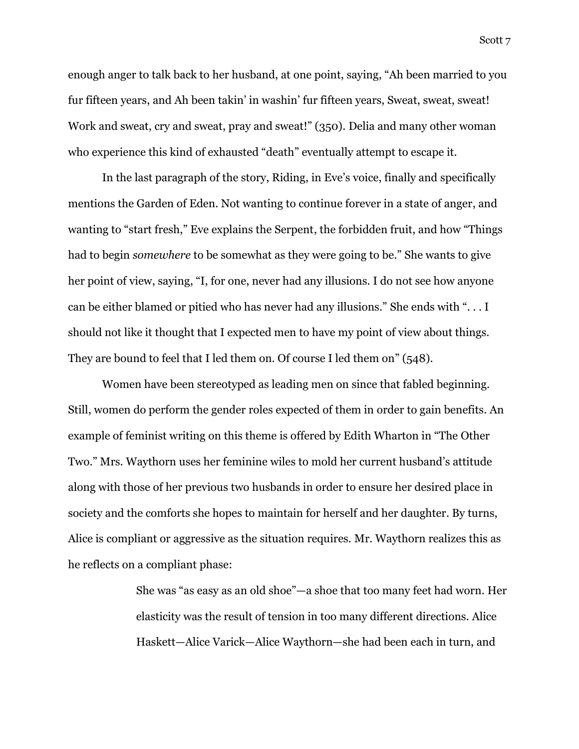enough anger to talk back to her husband, at one point, saying, "Ah been married to you fur fifteen years, and Ah been takin' in washin' fur fifteen years, Sweat, sweat, sweat! Work and sweat, cry and sweat, pray and sweat!" (350). Delia and many other woman who experience this kind of exhausted "death" eventually attempt to escape it.

In the last paragraph of the story, Riding, in Eve's voice, finally and specifically mentions the Garden of Eden. Not wanting to continue forever in a state of anger, and wanting to "start fresh," Eve explains the Serpent, the forbidden fruit, and how "Things had to begin *somewhere* to be somewhat as they were going to be." She wants to give her point of view, saying, "I, for one, never had any illusions. I do not see how anyone can be either blamed or pitied who has never had any illusions." She ends with ". . . I should not like it thought that I expected men to have my point of view about things. They are bound to feel that I led them on. Of course I led them on" (548).

Women have been stereotyped as leading men on since that fabled beginning. Still, women do perform the gender roles expected of them in order to gain benefits. An example of feminist writing on this theme is offered by Edith Wharton in "The Other Two." Mrs. Waythorn uses her feminine wiles to mold her current husband's attitude along with those of her previous two husbands in order to ensure her desired place in society and the comforts she hopes to maintain for herself and her daughter. By turns, Alice is compliant or aggressive as the situation requires. Mr. Waythorn realizes this as he reflects on a compliant phase:

> She was "as easy as an old shoe"—a shoe that too many feet had worn. Her elasticity was the result of tension in too many different directions. Alice Haskett—Alice Varick—Alice Waythorn—she had been each in turn, and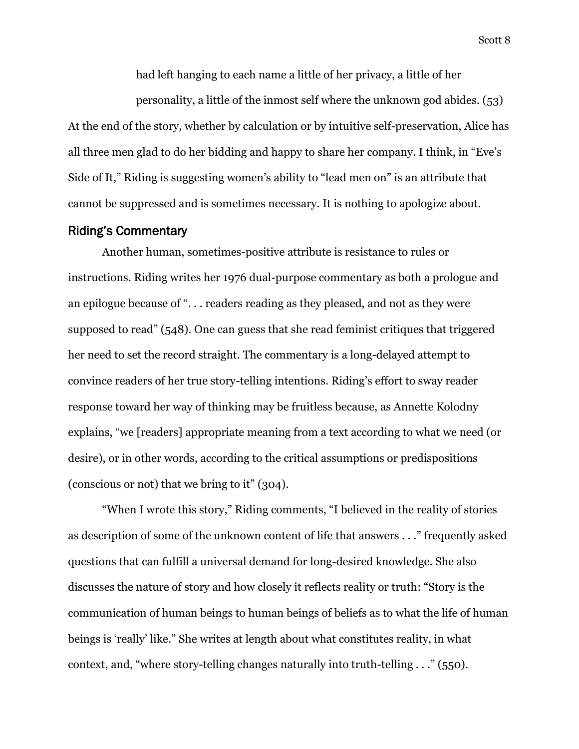had left hanging to each name a little of her privacy, a little of her

personality, a little of the inmost self where the unknown god abides. (53) At the end of the story, whether by calculation or by intuitive self-preservation, Alice has all three men glad to do her bidding and happy to share her company. I think, in "Eve's Side of It," Riding is suggesting women's ability to "lead men on" is an attribute that cannot be suppressed and is sometimes necessary. It is nothing to apologize about.

#### Riding's Commentary

Another human, sometimes-positive attribute is resistance to rules or instructions. Riding writes her 1976 dual-purpose commentary as both a prologue and an epilogue because of ". . . readers reading as they pleased, and not as they were supposed to read" (548). One can guess that she read feminist critiques that triggered her need to set the record straight. The commentary is a long-delayed attempt to convince readers of her true story-telling intentions. Riding's effort to sway reader response toward her way of thinking may be fruitless because, as Annette Kolodny explains, "we [readers] appropriate meaning from a text according to what we need (or desire), or in other words, according to the critical assumptions or predispositions (conscious or not) that we bring to it" (304).

"When I wrote this story," Riding comments, "I believed in the reality of stories as description of some of the unknown content of life that answers . . ." frequently asked questions that can fulfill a universal demand for long-desired knowledge. She also discusses the nature of story and how closely it reflects reality or truth: "Story is the communication of human beings to human beings of beliefs as to what the life of human beings is 'really' like." She writes at length about what constitutes reality, in what context, and, "where story-telling changes naturally into truth-telling . . ." (550).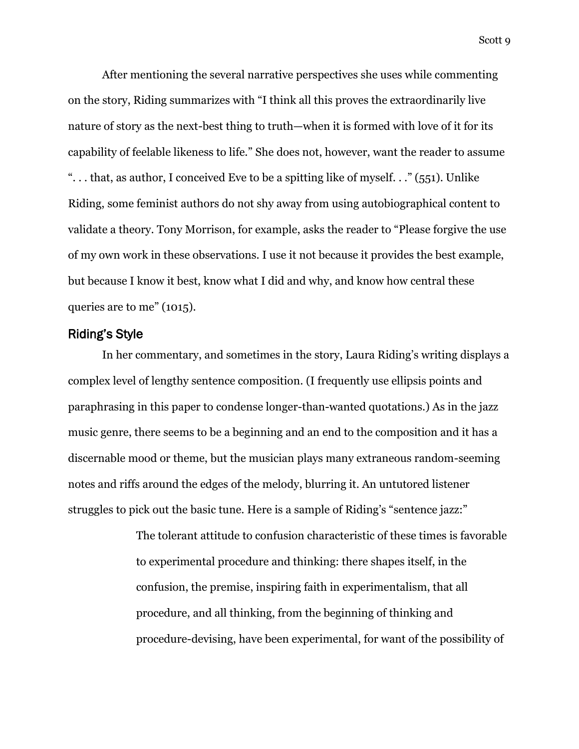After mentioning the several narrative perspectives she uses while commenting on the story, Riding summarizes with "I think all this proves the extraordinarily live nature of story as the next-best thing to truth—when it is formed with love of it for its capability of feelable likeness to life." She does not, however, want the reader to assume ". . . that, as author, I conceived Eve to be a spitting like of myself. . ." (551). Unlike Riding, some feminist authors do not shy away from using autobiographical content to validate a theory. Tony Morrison, for example, asks the reader to "Please forgive the use of my own work in these observations. I use it not because it provides the best example, but because I know it best, know what I did and why, and know how central these queries are to me" (1015).

### Riding's Style

In her commentary, and sometimes in the story, Laura Riding's writing displays a complex level of lengthy sentence composition. (I frequently use ellipsis points and paraphrasing in this paper to condense longer-than-wanted quotations.) As in the jazz music genre, there seems to be a beginning and an end to the composition and it has a discernable mood or theme, but the musician plays many extraneous random-seeming notes and riffs around the edges of the melody, blurring it. An untutored listener struggles to pick out the basic tune. Here is a sample of Riding's "sentence jazz:"

> The tolerant attitude to confusion characteristic of these times is favorable to experimental procedure and thinking: there shapes itself, in the confusion, the premise, inspiring faith in experimentalism, that all procedure, and all thinking, from the beginning of thinking and procedure-devising, have been experimental, for want of the possibility of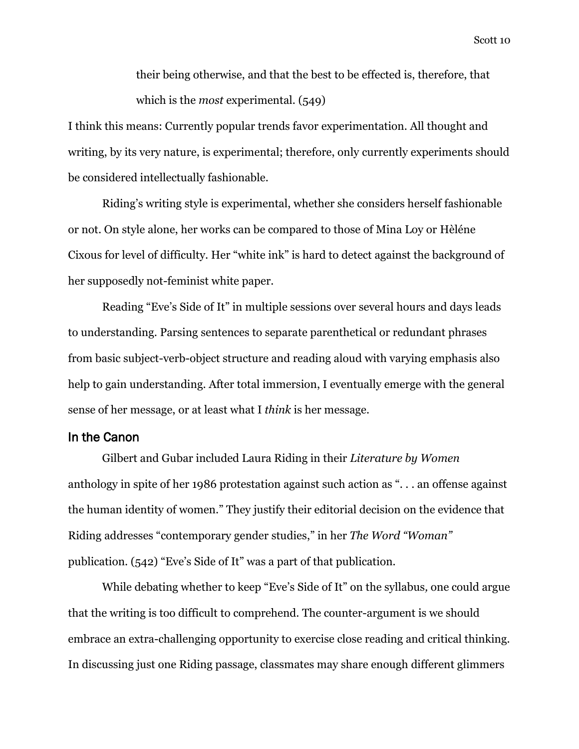their being otherwise, and that the best to be effected is, therefore, that which is the *most* experimental. (549)

I think this means: Currently popular trends favor experimentation. All thought and writing, by its very nature, is experimental; therefore, only currently experiments should be considered intellectually fashionable.

Riding's writing style is experimental, whether she considers herself fashionable or not. On style alone, her works can be compared to those of Mina Loy or Hèléne Cixous for level of difficulty. Her "white ink" is hard to detect against the background of her supposedly not-feminist white paper.

Reading "Eve's Side of It" in multiple sessions over several hours and days leads to understanding. Parsing sentences to separate parenthetical or redundant phrases from basic subject-verb-object structure and reading aloud with varying emphasis also help to gain understanding. After total immersion, I eventually emerge with the general sense of her message, or at least what I *think* is her message.

# In the Canon

Gilbert and Gubar included Laura Riding in their *Literature by Women* anthology in spite of her 1986 protestation against such action as ". . . an offense against the human identity of women." They justify their editorial decision on the evidence that Riding addresses "contemporary gender studies," in her *The Word "Woman"* publication. (542) "Eve's Side of It" was a part of that publication.

While debating whether to keep "Eve's Side of It" on the syllabus*,* one could argue that the writing is too difficult to comprehend. The counter-argument is we should embrace an extra-challenging opportunity to exercise close reading and critical thinking. In discussing just one Riding passage, classmates may share enough different glimmers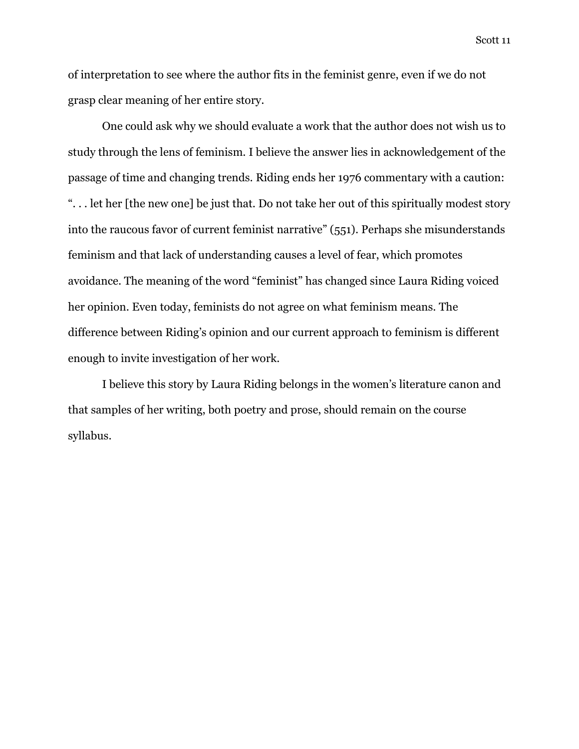of interpretation to see where the author fits in the feminist genre, even if we do not grasp clear meaning of her entire story.

One could ask why we should evaluate a work that the author does not wish us to study through the lens of feminism. I believe the answer lies in acknowledgement of the passage of time and changing trends. Riding ends her 1976 commentary with a caution: ". . . let her [the new one] be just that. Do not take her out of this spiritually modest story into the raucous favor of current feminist narrative" (551). Perhaps she misunderstands feminism and that lack of understanding causes a level of fear, which promotes avoidance. The meaning of the word "feminist" has changed since Laura Riding voiced her opinion. Even today, feminists do not agree on what feminism means. The difference between Riding's opinion and our current approach to feminism is different enough to invite investigation of her work.

I believe this story by Laura Riding belongs in the women's literature canon and that samples of her writing, both poetry and prose, should remain on the course syllabus.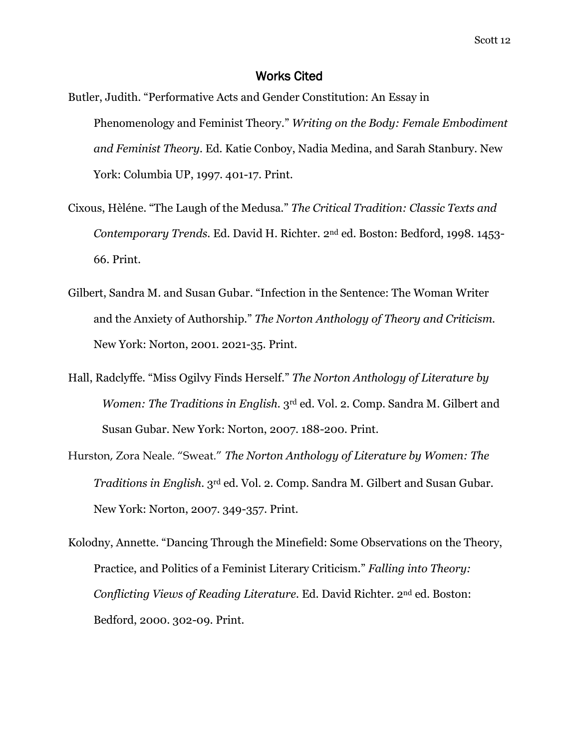### Works Cited

- Butler, Judith. "Performative Acts and Gender Constitution: An Essay in Phenomenology and Feminist Theory." *Writing on the Body: Female Embodiment and Feminist Theory.* Ed. Katie Conboy, Nadia Medina, and Sarah Stanbury. New York: Columbia UP, 1997. 401-17. Print.
- Cixous, Hèléne. "The Laugh of the Medusa." *The Critical Tradition: Classic Texts and Contemporary Trends.* Ed. David H. Richter. 2nd ed. Boston: Bedford, 1998. 1453- 66. Print.
- Gilbert, Sandra M. and Susan Gubar. "Infection in the Sentence: The Woman Writer and the Anxiety of Authorship." *The Norton Anthology of Theory and Criticism.* New York: Norton, 2001. 2021-35. Print.
- Hall, Radclyffe. "Miss Ogilvy Finds Herself." *The Norton Anthology of Literature by Women: The Traditions in English.* 3<sup>rd</sup> ed. Vol. 2. Comp. Sandra M. Gilbert and Susan Gubar. New York: Norton, 2007. 188-200. Print.
- Hurston, Zora Neale. "Sweat." *The Norton Anthology of Literature by Women: The Traditions in English.* 3rd ed. Vol. 2*.* Comp. Sandra M. Gilbert and Susan Gubar. New York: Norton, 2007. 349-357. Print.
- Kolodny, Annette. "Dancing Through the Minefield: Some Observations on the Theory, Practice, and Politics of a Feminist Literary Criticism." *Falling into Theory: Conflicting Views of Reading Literature.* Ed. David Richter. 2nd ed. Boston: Bedford, 2000. 302-09. Print.